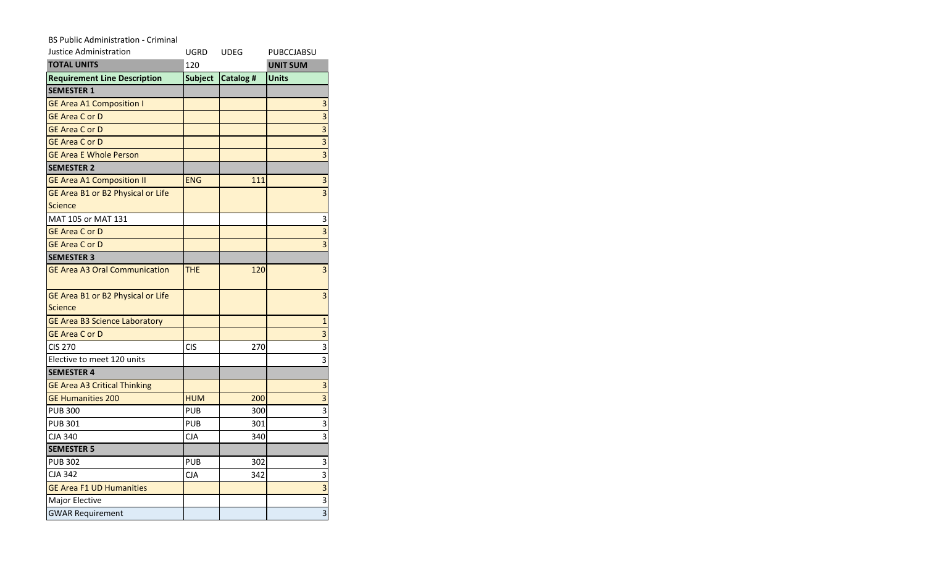## BS Public Administration - Criminal

| Justice Administration               | UGRD           | <b>UDEG</b> | PUBCCJABSU              |
|--------------------------------------|----------------|-------------|-------------------------|
| <b>TOTAL UNITS</b>                   | 120            |             | <b>UNIT SUM</b>         |
| <b>Requirement Line Description</b>  | <b>Subject</b> | Catalog #   | <b>Units</b>            |
| <b>SEMESTER 1</b>                    |                |             |                         |
| <b>GE Area A1 Composition I</b>      |                |             | 3                       |
| <b>GE Area C or D</b>                |                |             | $\overline{3}$          |
| <b>GE Area C or D</b>                |                |             | $\overline{\mathbf{3}}$ |
| <b>GE Area C or D</b>                |                |             | $\overline{3}$          |
| <b>GE Area E Whole Person</b>        |                |             | $\overline{\mathbf{3}}$ |
| <b>SEMESTER 2</b>                    |                |             |                         |
| <b>GE Area A1 Composition II</b>     | <b>ENG</b>     | 111         | 3                       |
| GE Area B1 or B2 Physical or Life    |                |             | $\overline{3}$          |
| <b>Science</b>                       |                |             |                         |
| MAT 105 or MAT 131                   |                |             | 3                       |
| <b>GE Area C or D</b>                |                |             | $\overline{\mathbf{3}}$ |
| <b>GE Area C or D</b>                |                |             | $\overline{3}$          |
| <b>SEMESTER 3</b>                    |                |             |                         |
| <b>GE Area A3 Oral Communication</b> | <b>THE</b>     | 120         | $\overline{\mathbf{3}}$ |
| GE Area B1 or B2 Physical or Life    |                |             | $\overline{\mathbf{3}}$ |
| <b>Science</b>                       |                |             |                         |
| <b>GE Area B3 Science Laboratory</b> |                |             | $\mathbf{1}$            |
| <b>GE Area C or D</b>                |                |             | $\overline{\mathbf{3}}$ |
| <b>CIS 270</b>                       | CIS            | 270         | $\overline{3}$          |
| Elective to meet 120 units           |                |             | $\overline{3}$          |
| <b>SEMESTER 4</b>                    |                |             |                         |
| <b>GE Area A3 Critical Thinking</b>  |                |             | 3                       |
| <b>GE Humanities 200</b>             | <b>HUM</b>     | 200         | 3                       |
| <b>PUB 300</b>                       | <b>PUB</b>     | 300         | $\overline{3}$          |
| <b>PUB 301</b>                       | PUB            | 301         | $\overline{\mathbf{3}}$ |
| <b>CJA 340</b>                       | <b>CJA</b>     | 340         | $\overline{3}$          |
| <b>SEMESTER 5</b>                    |                |             |                         |
| <b>PUB 302</b>                       | PUB            | 302         | 3                       |
| <b>CJA 342</b>                       | СJА            | 342         | $\overline{3}$          |
| <b>GE Area F1 UD Humanities</b>      |                |             | $\overline{3}$          |
| Major Elective                       |                |             | $\overline{3}$          |
| <b>GWAR Requirement</b>              |                |             | $\overline{3}$          |